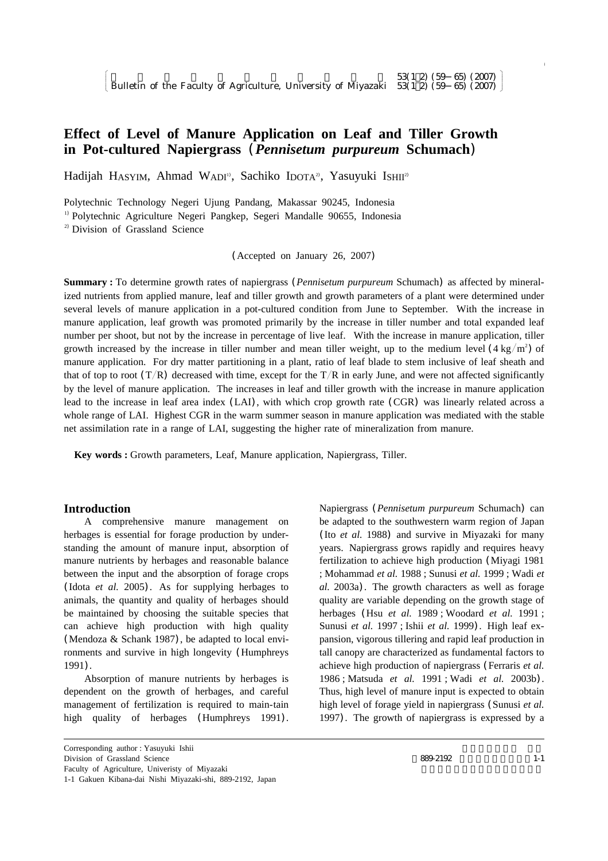# **Effect of Level of Manure Application on Leaf and Tiller Growth in Pot-cultured Napiergrass** (*Pennisetum purpureum* **Schumach**)

Hadijah HASYIM, Ahmad WADI<sup>1</sup>, Sachiko IDOTA<sup>2</sup>, Yasuyuki Ishii<sup>2</sup>

Polytechnic Technology Negeri Ujung Pandang, Makassar 90245, Indonesia

<sup>1)</sup> Polytechnic Agriculture Negeri Pangkep, Segeri Mandalle 90655, Indonesia

<sup>2)</sup> Division of Grassland Science

(Accepted on January 26, 2007)

**Summary :** To determine growth rates of napiergrass (*Pennisetum purpureum* Schumach) as affected by mineralized nutrients from applied manure, leaf and tiller growth and growth parameters of a plant were determined under several levels of manure application in a pot-cultured condition from June to September. With the increase in manure application, leaf growth was promoted primarily by the increase in tiller number and total expanded leaf number per shoot, but not by the increase in percentage of live leaf. With the increase in manure application, tiller growth increased by the increase in tiller number and mean tiller weight, up to the medium level  $(4 \text{ kg/m}^2)$  of manure application. For dry matter partitioning in a plant, ratio of leaf blade to stem inclusive of leaf sheath and that of top to root  $(T/R)$  decreased with time, except for the  $T/R$  in early June, and were not affected significantly by the level of manure application. The increases in leaf and tiller growth with the increase in manure application lead to the increase in leaf area index (LAI), with which crop growth rate (CGR) was linearly related across a whole range of LAI. Highest CGR in the warm summer season in manure application was mediated with the stable net assimilation rate in a range of LAI, suggesting the higher rate of mineralization from manure.

**Key words :** Growth parameters, Leaf, Manure application, Napiergrass, Tiller.

# **Introduction**

A comprehensive manure management on herbages is essential for forage production by understanding the amount of manure input, absorption of manure nutrients by herbages and reasonable balance between the input and the absorption of forage crops (Idota *et al.* 2005). As for supplying herbages to animals, the quantity and quality of herbages should be maintained by choosing the suitable species that can achieve high production with high quality (Mendoza & Schank 1987), be adapted to local environments and survive in high longevity (Humphreys 1991).

Absorption of manure nutrients by herbages is dependent on the growth of herbages, and careful management of fertilization is required to main-tain high quality of herbages (Humphreys 1991).

Corresponding author : Yasuyuki Ishii Division of Grassland Science Faculty of Agriculture, Univeristy of Miyazaki 1-1 Gakuen Kibana-dai Nishi Miyazaki-shi, 889-2192, Japan Napiergrass (*Pennisetum purpureum* Schumach) can be adapted to the southwestern warm region of Japan (Ito *et al.* 1988) and survive in Miyazaki for many years. Napiergrass grows rapidly and requires heavy fertilization to achieve high production (Miyagi 1981 ; Mohammad *et al.* 1988 ; Sunusi *et al.* 1999 ; Wadi *et al.* 2003a). The growth characters as well as forage quality are variable depending on the growth stage of herbages (Hsu *et al.* 1989 ; Woodard *et al.* 1991 ; Sunusi *et al.* 1997 ; Ishii *et al.* 1999). High leaf expansion, vigorous tillering and rapid leaf production in tall canopy are characterized as fundamental factors to achieve high production of napiergrass (Ferraris *et al.* 1986 ; Matsuda *et al.* 1991 ; Wadi *et al.* 2003b). Thus, high level of manure input is expected to obtain high level of forage yield in napiergrass (Sunusi *et al.* 1997). The growth of napiergrass is expressed by a

 $\begin{bmatrix} \phantom{-} \end{bmatrix}$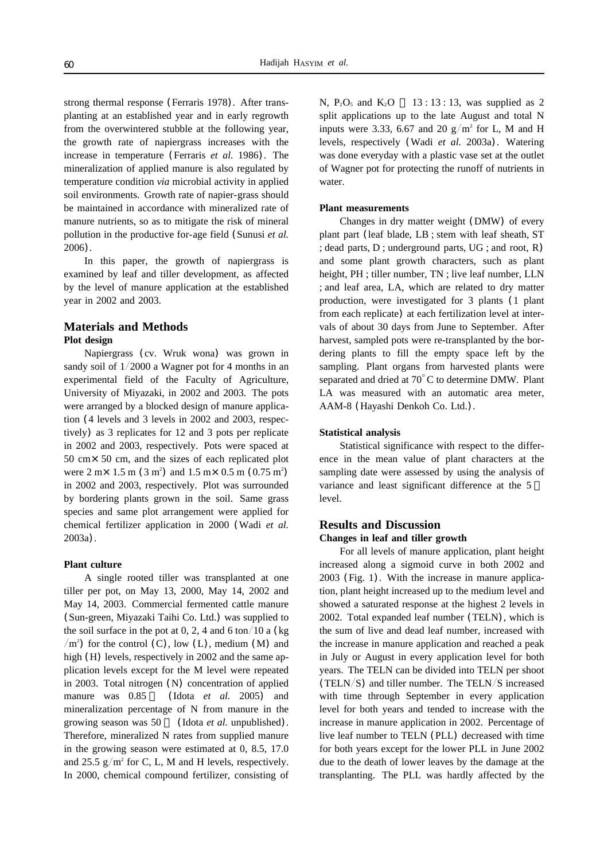strong thermal response (Ferraris 1978). After transplanting at an established year and in early regrowth from the overwintered stubble at the following year, the growth rate of napiergrass increases with the increase in temperature (Ferraris *et al.* 1986). The mineralization of applied manure is also regulated by temperature condition *via* microbial activity in applied soil environments. Growth rate of napier-grass should be maintained in accordance with mineralized rate of manure nutrients, so as to mitigate the risk of mineral pollution in the productive for-age field (Sunusi *et al.* 2006).

In this paper, the growth of napiergrass is examined by leaf and tiller development, as affected by the level of manure application at the established year in 2002 and 2003.

# **Materials and Methods Plot design**

Napiergrass (cv. Wruk wona) was grown in sandy soil of  $1/2000$  a Wagner pot for 4 months in an experimental field of the Faculty of Agriculture, University of Miyazaki, in 2002 and 2003. The pots were arranged by a blocked design of manure application (4 levels and 3 levels in 2002 and 2003, respectively) as 3 replicates for 12 and 3 pots per replicate in 2002 and 2003, respectively. Pots were spaced at 50 cm×50 cm, and the sizes of each replicated plot were  $2 \text{ m} \times 1.5 \text{ m} (3 \text{ m}^2)$  and  $1.5 \text{ m} \times 0.5 \text{ m} (0.75 \text{ m}^2)$ in 2002 and 2003, respectively. Plot was surrounded by bordering plants grown in the soil. Same grass species and same plot arrangement were applied for chemical fertilizer application in 2000 (Wadi *et al.* 2003a).

### **Plant culture**

A single rooted tiller was transplanted at one tiller per pot, on May 13, 2000, May 14, 2002 and May 14, 2003. Commercial fermented cattle manure (Sun-green, Miyazaki Taihi Co. Ltd.) was supplied to the soil surface in the pot at 0, 2, 4 and 6 ton/10 a (kg)  $/m<sup>2</sup>$ ) for the control (C), low (L), medium (M) and high (H) levels, respectively in 2002 and the same application levels except for the M level were repeated in 2003. Total nitrogen (N) concentration of applied manure was  $0.85$  (Idota *et al.* 2005) and mineralization percentage of N from manure in the growing season was 50 % (Idota *et al.* unpublished). Therefore, mineralized N rates from supplied manure in the growing season were estimated at 0, 8.5, 17.0 and 25.5  $g/m^2$  for C, L, M and H levels, respectively. In 2000, chemical compound fertilizer, consisting of N,  $P_2O_5$  and  $K_2O$  13 : 13 : 13, was supplied as 2 split applications up to the late August and total N inputs were 3.33, 6.67 and 20  $g/m^2$  for L, M and H levels, respectively (Wadi *et al.* 2003a). Watering was done everyday with a plastic vase set at the outlet of Wagner pot for protecting the runoff of nutrients in water.

#### **Plant measurements**

Changes in dry matter weight (DMW) of every plant part (leaf blade, LB ; stem with leaf sheath, ST ; dead parts, D ; underground parts, UG ; and root, R) and some plant growth characters, such as plant height, PH ; tiller number, TN ; live leaf number, LLN ; and leaf area, LA, which are related to dry matter production, were investigated for 3 plants (1 plant from each replicate) at each fertilization level at intervals of about 30 days from June to September. After harvest, sampled pots were re-transplanted by the bordering plants to fill the empty space left by the sampling. Plant organs from harvested plants were separated and dried at  $70^{\circ}$ C to determine DMW. Plant LA was measured with an automatic area meter, AAM-8 (Hayashi Denkoh Co. Ltd.).

#### **Statistical analysis**

Statistical significance with respect to the difference in the mean value of plant characters at the sampling date were assessed by using the analysis of variance and least significant difference at the 5 level.

# **Results and Discussion Changes in leaf and tiller growth**

For all levels of manure application, plant height increased along a sigmoid curve in both 2002 and 2003 (Fig. 1). With the increase in manure application, plant height increased up to the medium level and showed a saturated response at the highest 2 levels in 2002. Total expanded leaf number (TELN), which is the sum of live and dead leaf number, increased with the increase in manure application and reached a peak in July or August in every application level for both years. The TELN can be divided into TELN per shoot (TELN/S) and tiller number. The TELN/S increased with time through September in every application level for both years and tended to increase with the increase in manure application in 2002. Percentage of live leaf number to TELN (PLL) decreased with time for both years except for the lower PLL in June 2002 due to the death of lower leaves by the damage at the transplanting. The PLL was hardly affected by the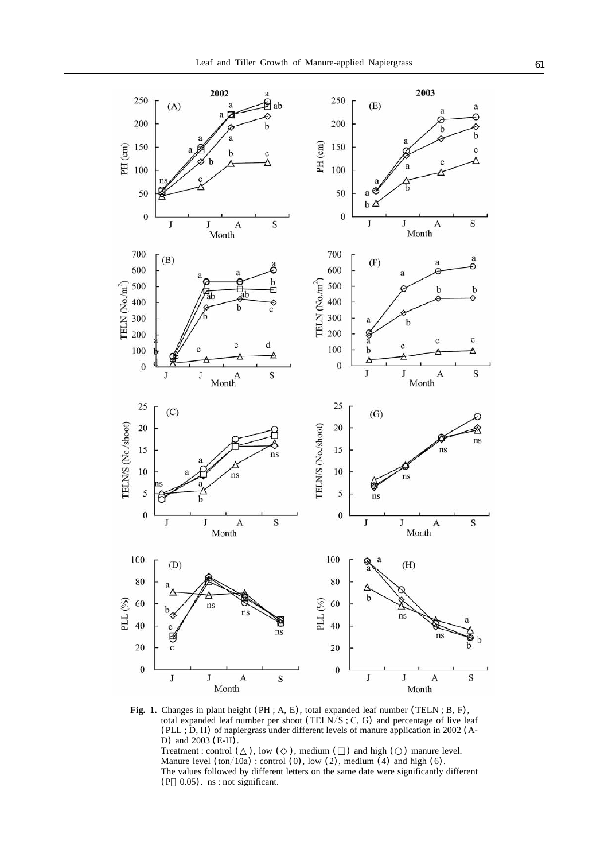

**Fig. 1.** Changes in plant height (PH ; A, E), total expanded leaf number (TELN ; B, F), total expanded leaf number per shoot (TELN/S; C, G) and percentage of live leaf (PLL ; D, H) of napiergrass under different levels of manure application in 2002 (A-D) and 2003 (E-H).

Treatment : control ( ), low ( ), medium ( ) and high ( ) manure level. Manure level  $(ton/10a)$ : control  $(0)$ , low  $(2)$ , medium  $(4)$  and high  $(6)$ . The values followed by different letters on the same date were significantly different (P 0.05). ns : not significant.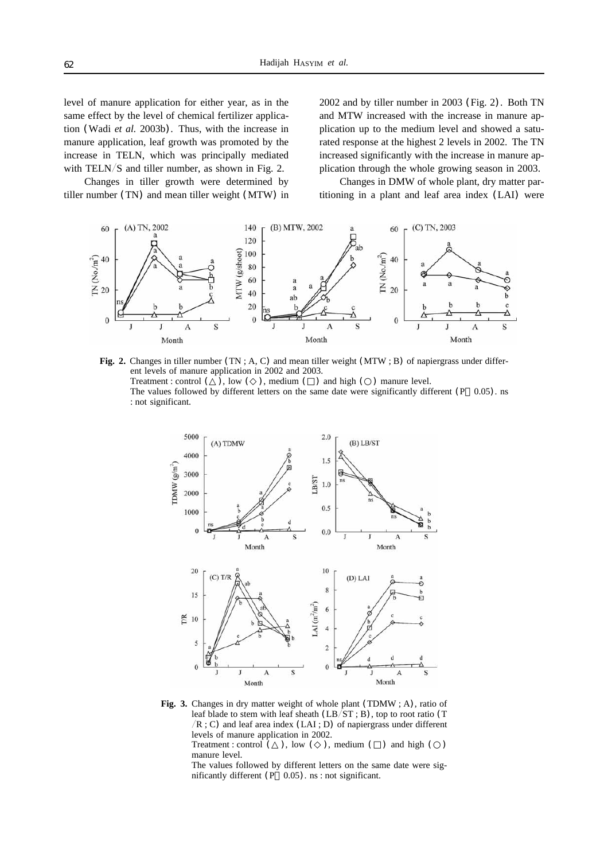level of manure application for either year, as in the same effect by the level of chemical fertilizer application (Wadi *et al.* 2003b). Thus, with the increase in manure application, leaf growth was promoted by the increase in TELN, which was principally mediated with TELN/S and tiller number, as shown in Fig. 2.

Changes in tiller growth were determined by tiller number (TN) and mean tiller weight (MTW) in 2002 and by tiller number in 2003 (Fig. 2). Both TN and MTW increased with the increase in manure application up to the medium level and showed a saturated response at the highest 2 levels in 2002. The TN increased significantly with the increase in manure application through the whole growing season in 2003.

Changes in DMW of whole plant, dry matter partitioning in a plant and leaf area index (LAI) were



**Fig. 2.** Changes in tiller number (TN ; A, C) and mean tiller weight (MTW ; B) of napiergrass under different levels of manure application in 2002 and 2003. Treatment : control  $(\bar{\ })$ , low  $(\bar{\ })$ , medium  $(\bar{\ })$  and high  $(\bar{\ })$  manure level. The values followed by different letters on the same date were significantly different  $(P \t 0.05)$ . ns : not significant.



Fig. 3. Changes in dry matter weight of whole plant (TDMW; A), ratio of leaf blade to stem with leaf sheath  $(LB/\text{ST}; B)$ , top to root ratio (T  $/R$ ; C) and leaf area index (LAI; D) of napiergrass under different levels of manure application in 2002.

Treatment : control  $($ ), low  $($ ), medium  $($ ) and high  $($ ) manure level.

The values followed by different letters on the same date were significantly different (P 0.05). ns : not significant.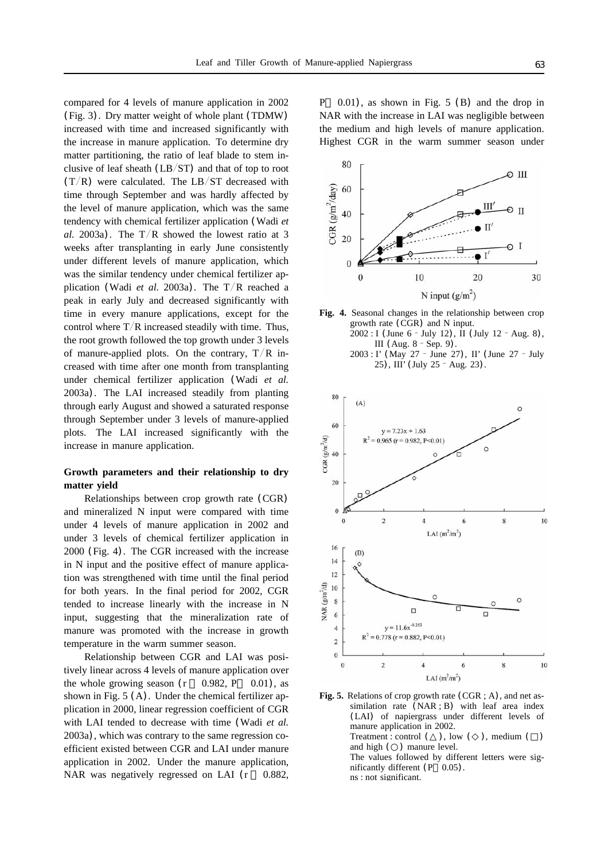compared for 4 levels of manure application in 2002 (Fig. 3). Dry matter weight of whole plant (TDMW) increased with time and increased significantly with the increase in manure application. To determine dry matter partitioning, the ratio of leaf blade to stem inclusive of leaf sheath  $(LB/ST)$  and that of top to root  $(T/R)$  were calculated. The LB/ST decreased with time through September and was hardly affected by the level of manure application, which was the same tendency with chemical fertilizer application (Wadi *et al.* 2003a). The  $T/R$  showed the lowest ratio at 3 weeks after transplanting in early June consistently under different levels of manure application, which was the similar tendency under chemical fertilizer application (Wadi *et al.* 2003a). The  $T/R$  reached a peak in early July and decreased significantly with time in every manure applications, except for the control where  $T/R$  increased steadily with time. Thus, the root growth followed the top growth under 3 levels of manure-applied plots. On the contrary,  $T/R$  increased with time after one month from transplanting under chemical fertilizer application (Wadi *et al.* 2003a). The LAI increased steadily from planting through early August and showed a saturated response through September under 3 levels of manure-applied plots. The LAI increased significantly with the increase in manure application.

# **Growth parameters and their relationship to dry matter yield**

Relationships between crop growth rate (CGR) and mineralized N input were compared with time under 4 levels of manure application in 2002 and under 3 levels of chemical fertilizer application in 2000 (Fig. 4). The CGR increased with the increase in N input and the positive effect of manure application was strengthened with time until the final period for both years. In the final period for 2002, CGR tended to increase linearly with the increase in N input, suggesting that the mineralization rate of manure was promoted with the increase in growth temperature in the warm summer season.

Relationship between CGR and LAI was positively linear across 4 levels of manure application over the whole growing season  $(r \t 0.982, P \t 0.01)$ , as shown in Fig. 5 (A). Under the chemical fertilizer application in 2000, linear regression coefficient of CGR with LAI tended to decrease with time (Wadi *et al.* 2003a), which was contrary to the same regression coefficient existed between CGR and LAI under manure application in 2002. Under the manure application, NAR was negatively regressed on LAI (r 0.882,

 $(0.01)$ , as shown in Fig. 5 (B) and the drop in NAR with the increase in LAI was negligible between the medium and high levels of manure application. Highest CGR in the warm summer season under



**Fig. 4.** Seasonal changes in the relationship between crop growth rate (CGR) and N input. 2002 : I (June 6 -July 12), II (July 12 -Aug. 8), III (Aug. 8 -Sep. 9). 2003 : I' (May 27 -June 27), II' (June 27 -July 25), III' (July 25 -Aug. 23).



**Fig. 5.** Relations of crop growth rate (CGR ; A), and net assimilation rate (NAR ; B) with leaf area index (LAI) of napiergrass under different levels of manure application in 2002. Treatment : control (), low (), medium () and high ( ) manure level. The values followed by different letters were significantly different  $(P \ 0.05)$ . ns : not significant.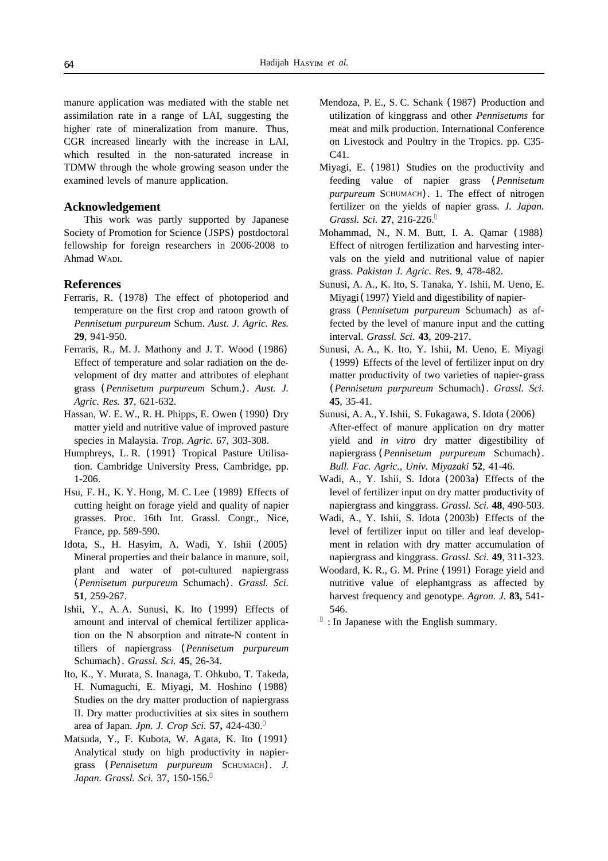manure application was mediated with the stable net assimilation rate in a range of LAI, suggesting the higher rate of mineralization from manure. Thus, CGR increased linearly with the increase in LAI, which resulted in the non-saturated increase in TDMW through the whole growing season under the examined levels of manure application.

## **Acknowledgement**

This work was partly supported by Japanese Society of Promotion for Science (JSPS) postdoctoral fellowship for foreign researchers in 2006-2008 to Ahmad WADI.

#### **References**

- Ferraris, R. (1978) The effect of photoperiod and temperature on the first crop and ratoon growth of *Pennisetum purpureum* Schum. *Aust. J. Agric. Res.* **29**, 941-950.
- Ferraris, R., M. J. Mathony and J. T. Wood (1986) Effect of temperature and solar radiation on the development of dry matter and attributes of elephant grass (*Pennisetum purpureum* Schum.). *Aust. J. Agric. Res.* **37**, 621-632.
- Hassan, W. E. W., R. H. Phipps, E. Owen (1990) Dry matter yield and nutritive value of improved pasture species in Malaysia. *Trop. Agric.* 67, 303-308.
- Humphreys, L. R. (1991) Tropical Pasture Utilisation. Cambridge University Press, Cambridge, pp. 1-206.
- Hsu, F. H., K. Y. Hong, M. C. Lee (1989) Effects of cutting height on forage yield and quality of napier grasses. Proc. 16th Int. Grassl. Congr., Nice, France, pp. 589-590.
- Idota, S., H. Hasyim, A. Wadi, Y. Ishii (2005) Mineral properties and their balance in manure, soil, plant and water of pot-cultured napiergrass (*Pennisetum purpureum* Schumach). *Grassl. Sci.* **51**, 259-267.
- Ishii, Y., A. A. Sunusi, K. Ito (1999) Effects of amount and interval of chemical fertilizer application on the N absorption and nitrate-N content in tillers of napiergrass (*Pennisetum purpureum* Schumach). *Grassl. Sci.* **45**, 26-34.
- Ito, K., Y. Murata, S. Inanaga, T. Ohkubo, T. Takeda, H. Numaguchi, E. Miyagi, M. Hoshino (1988) Studies on the dry matter production of napiergrass II. Dry matter productivities at six sites in southern area of Japan. *Jpn. J. Crop Sci.* **57,** 424-430.
- Matsuda, Y., F. Kubota, W. Agata, K. Ito (1991) Analytical study on high productivity in napiergrass (*Pennisetum purpureum* SCHUMACH). *J. Japan. Grassl. Sci.* 37, 150-156.
- Mendoza, P. E., S. C. Schank (1987) Production and utilization of kinggrass and other *Pennisetums* for meat and milk production. International Conference on Livestock and Poultry in the Tropics. pp. C35- C41.
- Miyagi, E. (1981) Studies on the productivity and feeding value of napier grass (*Pennisetum purpureum* SCHUMACH). 1. The effect of nitrogen fertilizer on the yields of napier grass. *J. Japan. Grassl. Sci.* **27**, 216-226.
- Mohammad, N., N. M. Butt, I. A. Qamar (1988) Effect of nitrogen fertilization and harvesting intervals on the yield and nutritional value of napier grass. *Pakistan J. Agric. Res*. **9**, 478-482.
- Sunusi, A. A., K. Ito, S. Tanaka, Y. Ishii, M. Ueno, E. Miyagi (1997) Yield and digestibility of napiergrass (*Pennisetum purpureum* Schumach) as affected by the level of manure input and the cutting interval. *Grassl. Sci.* **43**, 209-217.
- Sunusi, A. A., K. Ito, Y. Ishii, M. Ueno, E. Miyagi (1999) Effects of the level of fertilizer input on dry matter productivity of two varieties of napier-grass (*Pennisetum purpureum* Schumach). *Grassl. Sci.* **45**, 35-41.
- Sunusi, A. A., Y. Ishii, S. Fukagawa, S. Idota (2006) After-effect of manure application on dry matter yield and *in vitro* dry matter digestibility of napiergrass (*Pennisetum purpureum* Schumach). *Bull. Fac. Agric., Univ. Miyazaki* **52**, 41-46.
- Wadi, A., Y. Ishii, S. Idota (2003a) Effects of the level of fertilizer input on dry matter productivity of napiergrass and kinggrass. *Grassl. Sci.* **48**, 490-503.
- Wadi, A., Y. Ishii, S. Idota (2003b) Effects of the level of fertilizer input on tiller and leaf development in relation with dry matter accumulation of napiergrass and kinggrass. *Grassl. Sci.* **49**, 311-323.
- Woodard, K. R., G. M. Prine (1991) Forage yield and nutritive value of elephantgrass as affected by harvest frequency and genotype. *Agron. J.* **83,** 541- 546.
	- : In Japanese with the English summary.